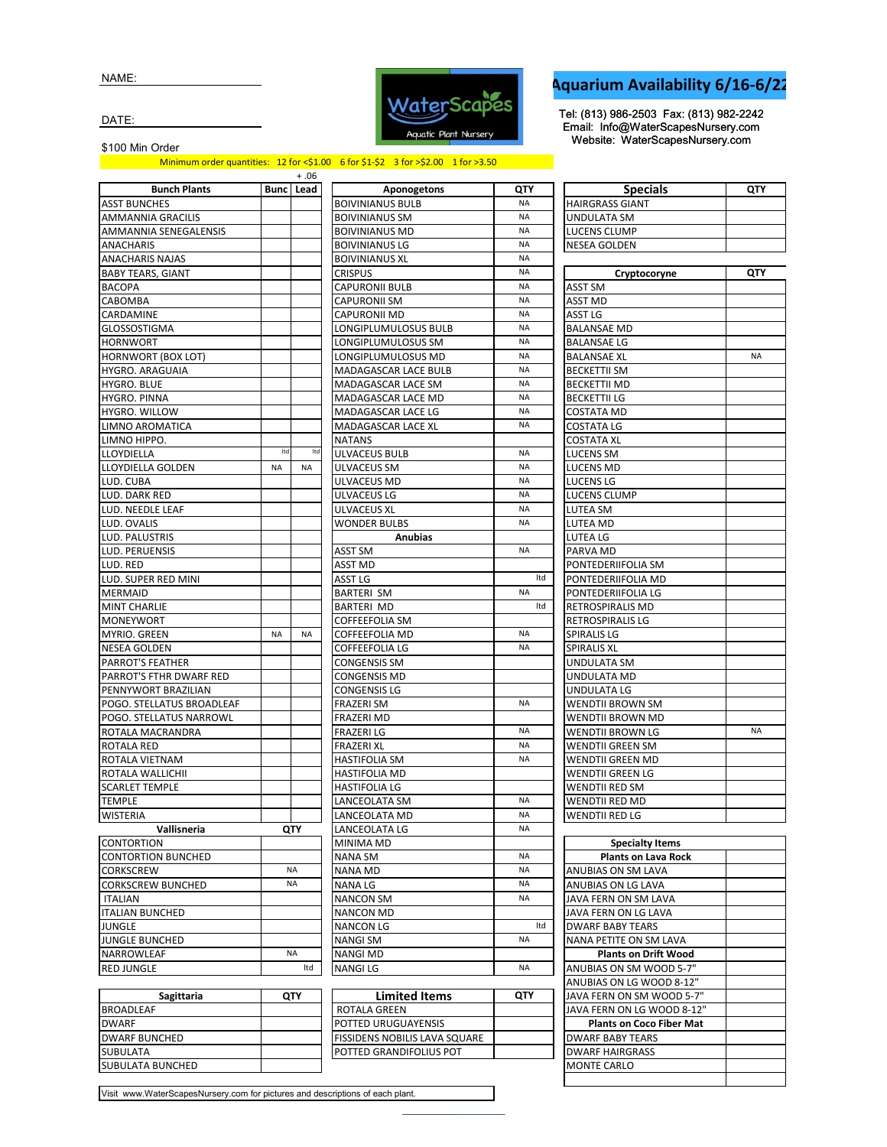NAME:



## **Aquarium Availability 6/16-6/22**

Tel: (813) 986-2503 Fax: (813) 982-2242 Email: Info@WaterScapesNursery.com Website: WaterScapesNursery.com

DATE:

\$100 Min Order

Minimum order quantities: 12 for <\$1.00 6 for \$1-\$2 3 for >\$2.00 1 for >3.50

|                           |           | + .06     |                       |
|---------------------------|-----------|-----------|-----------------------|
| <b>Bunch Plants</b>       | Bunc      | Lead      | Apon                  |
| ASST BUNCHES              |           |           | <b>BOIVINIANUS BL</b> |
| AMMANNIA GRACILIS         |           |           | <b>BOIVINIANUS SN</b> |
| AMMANNIA SENEGALENSIS     |           |           | <b>BOIVINIANUS M</b>  |
| ANACHARIS                 |           |           | <b>BOIVINIANUS LG</b> |
| <b>ANACHARIS NAJAS</b>    |           |           | <b>BOIVINIANUS XL</b> |
| <b>BABY TEARS, GIANT</b>  |           |           | <b>CRISPUS</b>        |
| <b>BACOPA</b>             |           |           | CAPURONII BULI        |
| CABOMBA                   |           |           | CAPURONII SM          |
| CARDAMINE                 |           |           | CAPURONII MD          |
| GLOSSOSTIGMA              |           |           | LONGIPLUMULC          |
| <b>HORNWORT</b>           |           |           | LONGIPLUMULC          |
| HORNWORT (BOX LOT)        |           |           | LONGIPLUMULC          |
| HYGRO. ARAGUAIA           |           |           | <b>MADAGASCAR L</b>   |
| HYGRO. BLUE               |           |           | MADAGASCAR L          |
| HYGRO. PINNA              |           |           | <b>MADAGASCAR L</b>   |
| HYGRO. WILLOW             |           |           | MADAGASCAR L          |
| LIMNO AROMATICA           |           |           | MADAGASCAR L          |
| LIMNO HIPPO.              |           |           | NATANS                |
| <b>LLOYDIELLA</b>         | Itd       | Itd       | ULVACEUS BULB         |
| LLOYDIELLA GOLDEN         | <b>NA</b> | <b>NA</b> | ULVACEUS SM           |
|                           |           |           | ULVACEUS MD           |
| LUD. CUBA                 |           |           |                       |
| LUD. DARK RED             |           |           | ULVACEUS LG           |
| LUD. NEEDLE LEAF          |           |           | ULVACEUS XL           |
| LUD. OVALIS               |           |           | <b>WONDER BULBS</b>   |
| LUD. PALUSTRIS            |           |           | Αn                    |
| LUD. PERUENSIS            |           |           | ASST SM               |
| LUD. RED                  |           |           | <b>ASST MD</b>        |
| LUD. SUPER RED MINI       |           |           | ASST LG               |
| MERMAID                   |           |           | BARTERI SM            |
| <b>MINT CHARLIE</b>       |           |           | BARTERI MD            |
| MONEYWORT                 |           |           | COFFEEFOLIA SN        |
| MYRIO. GREEN              | <b>NA</b> | NA        | COFFEEFOLIA M         |
| NESEA GOLDEN              |           |           | COFFEEFOLIA LG        |
| PARROT'S FEATHER          |           |           | CONGENSIS SM          |
| PARROT'S FTHR DWARF RED   |           |           | CONGENSIS MD          |
| PENNYWORT BRAZILIAN       |           |           | CONGENSIS LG          |
| POGO. STELLATUS BROADLEAF |           |           | FRAZERI SM            |
| POGO. STELLATUS NARROWL   |           |           | FRAZERI MD            |
| ROTALA MACRANDRA          |           |           | <b>FRAZERI LG</b>     |
| ROTALA RED                |           |           | <b>FRAZERI XL</b>     |
| ROTALA VIETNAM            |           |           | <b>HASTIFOLIA SM</b>  |
| ROTALA WALLICHII          |           |           | HASTIFOLIA MD         |
| SCARLET TEMPLE            |           |           | HASTIFOLIA LG         |
| TEMPLE                    |           |           | LANCEOLATA SN         |
| <b>WISTERIA</b>           |           |           | LANCEOLATA MI         |
| Vallisneria               |           | QTY       | LANCEOLATA LG         |
| CONTORTION                |           |           | MINIMA MD             |
| <b>CONTORTION BUNCHED</b> |           |           | NANA SM               |
| CORKSCREW                 |           | NA        | NANA MD               |
| <b>CORKSCREW BUNCHED</b>  |           | <b>NA</b> | NANA LG               |
| <b>ITALIAN</b>            |           |           | <b>NANCON SM</b>      |
| <b>ITALIAN BUNCHED</b>    |           |           | NANCON MD             |
| JUNGLE                    |           |           | NANCON LG             |
| JUNGLE BUNCHED            |           |           | <b>NANGI SM</b>       |
| NARROWLEAF                |           | <b>NA</b> | <b>NANGI MD</b>       |
| <b>RED JUNGLE</b>         |           | Itd       | <b>NANGILG</b>        |
|                           |           |           |                       |
|                           |           |           |                       |

| <b>Bunch Plants</b>            |           | $+.06$<br><b>Bunc</b> Lead | Aponogetons                 | QTY       | <b>Specials</b>                          |
|--------------------------------|-----------|----------------------------|-----------------------------|-----------|------------------------------------------|
| ASST BUNCHES                   |           |                            | <b>BOIVINIANUS BULB</b>     | <b>NA</b> | <b>HAIRGRASS GIANT</b>                   |
| <b>AMMANNIA GRACILIS</b>       |           |                            | <b>BOIVINIANUS SM</b>       | <b>NA</b> | UNDULATA SM                              |
| AMMANNIA SENEGALENSIS          |           |                            | <b>BOIVINIANUS MD</b>       | <b>NA</b> | LUCENS CLUMP                             |
| ANACHARIS                      |           |                            | <b>BOIVINIANUS LG</b>       | <b>NA</b> | <b>NESEA GOLDEN</b>                      |
| ANACHARIS NAJAS                |           |                            | <b>BOIVINIANUS XL</b>       | <b>NA</b> |                                          |
| <b>BABY TEARS, GIANT</b>       |           |                            | <b>CRISPUS</b>              | <b>NA</b> | Cryptocoryne                             |
| BACOPA                         |           |                            | <b>CAPURONII BULB</b>       | <b>NA</b> | ASST SM                                  |
| CABOMBA                        |           |                            | <b>CAPURONII SM</b>         | <b>NA</b> | ASST MD                                  |
| CARDAMINE                      |           |                            | <b>CAPURONII MD</b>         | <b>NA</b> | ASST LG                                  |
| GLOSSOSTIGMA                   |           |                            | LONGIPLUMULOSUS BULB        | <b>NA</b> | <b>BALANSAE MD</b>                       |
| HORNWORT                       |           |                            | LONGIPLUMULOSUS SM          | <b>NA</b> | <b>BALANSAE LG</b>                       |
| HORNWORT (BOX LOT)             |           |                            | LONGIPLUMULOSUS MD          | <b>NA</b> | <b>BALANSAE XL</b>                       |
| HYGRO. ARAGUAIA                |           |                            | <b>MADAGASCAR LACE BULB</b> | <b>NA</b> | <b>BECKETTII SM</b>                      |
| HYGRO. BLUE                    |           |                            | MADAGASCAR LACE SM          | <b>NA</b> | <b>BECKETTII MD</b>                      |
| HYGRO. PINNA                   |           |                            | MADAGASCAR LACE MD          | <b>NA</b> | <b>BECKETTII LG</b>                      |
| HYGRO. WILLOW                  |           |                            | MADAGASCAR LACE LG          | <b>NA</b> | <b>COSTATA MD</b>                        |
| LIMNO AROMATICA                |           |                            | <b>MADAGASCAR LACE XL</b>   | <b>NA</b> | <b>COSTATA LG</b>                        |
| LIMNO HIPPO.                   |           |                            | <b>NATANS</b>               |           | <b>COSTATA XL</b>                        |
| LLOYDIELLA                     | Itd       | Itd                        | ULVACEUS BULB               | <b>NA</b> | LUCENS SM                                |
| LLOYDIELLA GOLDEN              | <b>NA</b> | <b>NA</b>                  | ULVACEUS SM                 | <b>NA</b> | LUCENS MD                                |
| LUD. CUBA                      |           |                            | ULVACEUS MD                 | <b>NA</b> | <b>LUCENS LG</b>                         |
| LUD. DARK RED                  |           |                            | ULVACEUS LG                 | <b>NA</b> | <b>LUCENS CLUMP</b>                      |
| LUD. NEEDLE LEAF               |           |                            | ULVACEUS XL                 | <b>NA</b> | LUTEA SM                                 |
| LUD. OVALIS                    |           |                            | <b>WONDER BULBS</b>         | <b>NA</b> | LUTEA MD                                 |
| LUD. PALUSTRIS                 |           |                            | <b>Anubias</b>              |           | LUTEA LG                                 |
| LUD. PERUENSIS                 |           |                            | ASST SM                     | <b>NA</b> | PARVA MD                                 |
| LUD. RED                       |           |                            | ASST MD                     |           | PONTEDERIIFOLIA SM                       |
| LUD. SUPER RED MINI            |           |                            | ASST LG                     | Itd       | PONTEDERIIFOLIA MD                       |
| MERMAID                        |           |                            | <b>BARTERI SM</b>           | <b>NA</b> | PONTEDERIIFOLIA LG                       |
| <b>MINT CHARLIE</b>            |           |                            | <b>BARTERI MD</b>           | Itd       | RETROSPIRALIS MD                         |
| MONEYWORT                      |           |                            | <b>COFFEEFOLIA SM</b>       |           | <b>RETROSPIRALIS LG</b>                  |
| MYRIO. GREEN                   | <b>NA</b> | ΝA                         | <b>COFFEEFOLIA MD</b>       | <b>NA</b> | SPIRALIS LG                              |
| NESEA GOLDEN                   |           |                            | <b>COFFEEFOLIA LG</b>       | <b>NA</b> | <b>SPIRALIS XL</b>                       |
| PARROT'S FEATHER               |           |                            | <b>CONGENSIS SM</b>         |           | UNDULATA SM                              |
| PARROT'S FTHR DWARF RED        |           |                            | <b>CONGENSIS MD</b>         |           | UNDULATA MD                              |
| PENNYWORT BRAZILIAN            |           |                            | CONGENSIS LG                |           | UNDULATA LG                              |
| POGO. STELLATUS BROADLEAF      |           |                            | FRAZERI SM                  | <b>NA</b> | WENDTII BROWN SM                         |
| POGO. STELLATUS NARROWL        |           |                            | FRAZERI MD                  |           | WENDTII BROWN MD                         |
| ROTALA MACRANDRA               |           |                            | FRAZERI LG                  | <b>NA</b> | WENDTII BROWN LG                         |
| ROTALA RED                     |           |                            | <b>FRAZERI XL</b>           | <b>NA</b> | WENDTII GREEN SM                         |
| ROTALA VIETNAM                 |           |                            | <b>HASTIFOLIA SM</b>        | <b>NA</b> | WENDTII GREEN MD                         |
| ROTALA WALLICHII               |           |                            | HASTIFOLIA MD               |           | WENDTII GREEN LG                         |
| SCARLET TEMPLE                 |           |                            | <b>HASTIFOLIA LG</b>        | <b>NA</b> | WENDTII RED SM                           |
| TEMPLE                         |           |                            | LANCEOLATA SM               |           | WENDTII RED MD                           |
| WISTERIA                       |           |                            | LANCEOLATA MD               | NA        | <b>WENDTII RED LG</b>                    |
| Vallisneria                    |           | QTY                        | LANCEOLATA LG               | <b>NA</b> |                                          |
| CONTORTION                     |           |                            | MINIMA MD                   | NA        | <b>Specialty Items</b>                   |
| CONTORTION BUNCHED             |           | <b>NA</b>                  | NANA SM<br><b>NANA MD</b>   | <b>NA</b> | <b>Plants on Lava Rock</b>               |
| CORKSCREW<br>CORKSCREW BUNCHED |           | <b>NA</b>                  | NANA LG                     | <b>NA</b> | ANUBIAS ON SM LAVA<br>ANUBIAS ON LG LAVA |
| <b>ITALIAN</b>                 |           |                            | <b>NANCON SM</b>            | <b>NA</b> | JAVA FERN ON SM LAVA                     |
| <b>ITALIAN BUNCHED</b>         |           |                            | <b>NANCON MD</b>            |           | JAVA FERN ON LG LAVA                     |
| JUNGLE                         |           |                            | <b>NANCON LG</b>            | Itd       | <b>DWARF BABY TEARS</b>                  |
| JUNGLE BUNCHED                 |           |                            | NANGI SM                    | NA        | NANA PETITE ON SM LAVA                   |
| NARROWLEAF                     |           | <b>NA</b>                  | <b>NANGI MD</b>             |           | <b>Plants on Drift Wood</b>              |
| RED JUNGLE                     |           | Itd                        | NANGI LG                    | <b>NA</b> | ANUBIAS ON SM WOOD 5-7"                  |
|                                |           |                            |                             |           | ANUBIAS ON LG WOOD 8-12"                 |
| Sagittaria                     |           | QTY                        | <b>Limited Items</b>        | QTY       | JAVA FERN ON SM WOOD 5-7'                |
| BROADLEAF                      |           |                            | ROTALA GREEN                |           | JAVA FERN ON LG WOOD 8-12                |
|                                |           |                            |                             |           |                                          |

| <b>Specials</b>            | QTY       |
|----------------------------|-----------|
| <b>HAIRGRASS GIANT</b>     |           |
| UNDULATA SM                |           |
| LUCENS CLUMP               |           |
| NESEA GOLDEN               |           |
|                            |           |
| Cryptocoryne               | QTY       |
| ASST SM                    |           |
| ASST MD                    |           |
| ASST LG                    |           |
| <b>BALANSAE MD</b>         |           |
| <b>BALANSAE LG</b>         |           |
| <b>BALANSAE XL</b>         | <b>NA</b> |
| <b>BECKETTII SM</b>        |           |
| <b>BECKETTII MD</b>        |           |
| BECKETTII LG               |           |
| COSTATA MD                 |           |
| COSTATA LG                 |           |
| <b>COSTATA XL</b>          |           |
| LUCENS SM                  |           |
| LUCENS MD                  |           |
| LUCENS LG                  |           |
| LUCENS CLUMP               |           |
| LUTEA SM                   |           |
| LUTEA MD                   |           |
| LUTEA LG                   |           |
| PARVA MD                   |           |
| PONTEDERIIFOLIA SM         |           |
| PONTEDERIIFOLIA MD         |           |
| PONTEDERIIFOLIA LG         |           |
| RETROSPIRALIS MD           |           |
| RETROSPIRALIS LG           |           |
| SPIRALIS LG                |           |
| <b>SPIRALIS XL</b>         |           |
| UNDULATA SM                |           |
| UNDULATA MD                |           |
| UNDULATA LG                |           |
| WENDTII BROWN SM           |           |
| WENDTII BROWN MD           |           |
| WENDTII BROWN LG           | <b>NA</b> |
| WENDTII GREEN SM           |           |
| WENDTII GREEN MD           |           |
| WENDTII GREEN LG           |           |
| <b>WENDTII RED SM</b>      |           |
| WENDTII RED MD             |           |
| WENDTII RED LG             |           |
|                            |           |
| <b>Specialty Items</b>     |           |
| <b>Plants on Lava Rock</b> |           |

| Specialty Iteliis               |  |
|---------------------------------|--|
| Plants on Lava Rock             |  |
| ANUBIAS ON SM LAVA              |  |
| ANUBIAS ON LG LAVA              |  |
| JAVA FERN ON SM LAVA            |  |
| JAVA FERN ON LG LAVA            |  |
| <b>DWARF BABY TEARS</b>         |  |
| <b>NANA PETITE ON SM LAVA</b>   |  |
| <b>Plants on Drift Wood</b>     |  |
| ANUBIAS ON SM WOOD 5-7"         |  |
| ANUBIAS ON LG WOOD 8-12"        |  |
| JAVA FERN ON SM WOOD 5-7"       |  |
| JAVA FERN ON LG WOOD 8-12"      |  |
| <b>Plants on Coco Fiber Mat</b> |  |
| <b>DWARF BABY TEARS</b>         |  |
| <b>DWARF HAIRGRASS</b>          |  |
| <b>MONTE CARLO</b>              |  |
|                                 |  |

| Sagittaria           | QTY | <b>Limited Items</b>                  | <b>QTY</b> | <b>JAVA FERN ON</b>  |
|----------------------|-----|---------------------------------------|------------|----------------------|
| <b>BROADLEAF</b>     |     | ROTALA GREEN                          |            | <b>JJAVA FERN ON</b> |
| <b>DWARF</b>         |     | <b>POTTED URUGUAYENSIS</b>            |            | <b>Plants on</b>     |
| <b>DWARF BUNCHED</b> |     | <b>IFISSIDENS NOBILIS LAVA SQUARE</b> |            | <b>DWARF BABY 1</b>  |
| <b>SUBULATA</b>      |     | <b>POTTED GRANDIFOLIUS POT</b>        |            | <b>DWARF HAIRG</b>   |
| SUBULATA BUNCHED     |     |                                       |            | <b>MONTE CARLO</b>   |

Visit www.WaterScapesNursery.com for pictures and descriptions of each plant.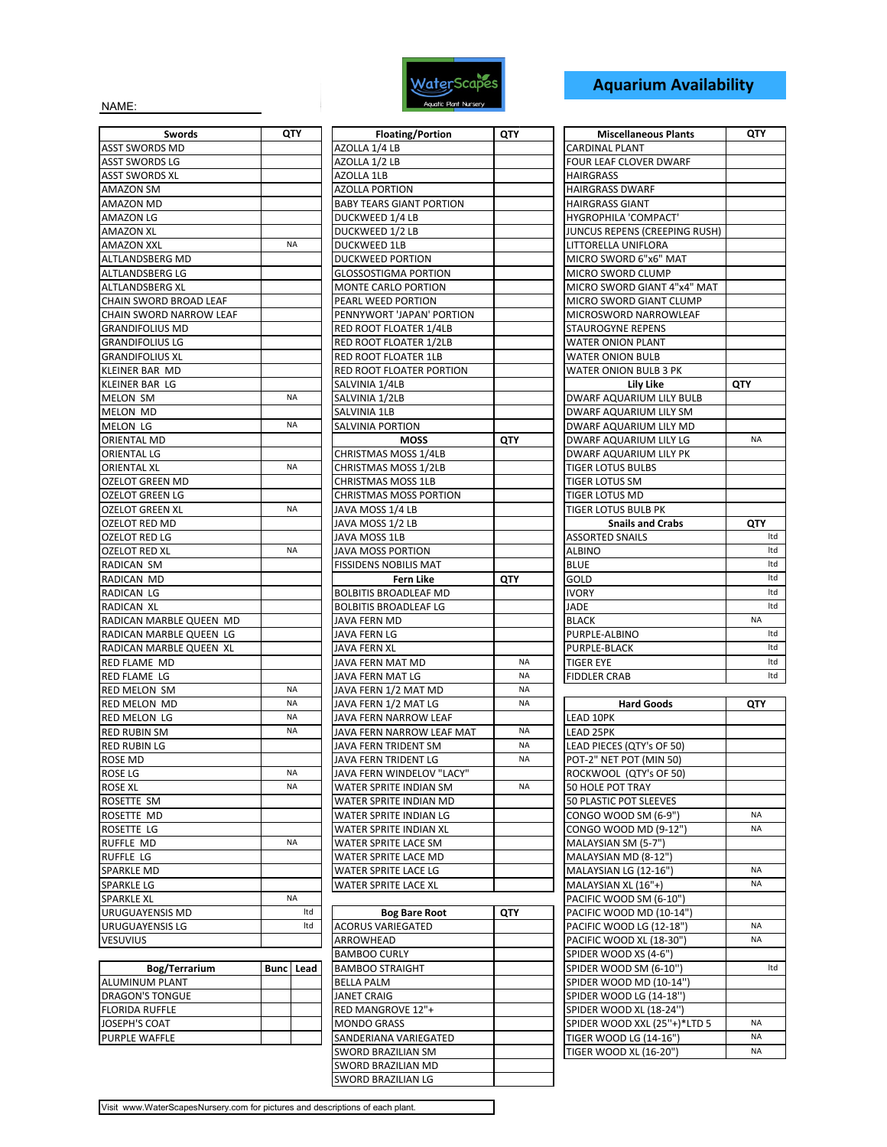

## **Aquarium Availability**

NAME:

| Swords                  | QTY       | <b>Floating/Portion</b>          |
|-------------------------|-----------|----------------------------------|
| <b>ASST SWORDS MD</b>   |           | AZOLLA 1/4 LB                    |
| ASST SWORDS LG          |           | AZOLLA 1/2 LB                    |
| ASST SWORDS XL          |           | AZOLLA 1LB                       |
| AMAZON SM               |           | <b>AZOLLA PORTION</b>            |
| AMAZON MD               |           | <b>BABY TEARS GIANT POR</b>      |
| AMAZON LG               |           | DUCKWEED 1/4 LB                  |
| AMAZON XL               |           | DUCKWEED 1/2 LB                  |
| AMAZON XXL              | <b>NA</b> | <b>DUCKWEED 1LB</b>              |
| ALTLANDSBERG MD         |           | DUCKWEED PORTION                 |
| ALTLANDSBERG LG         |           | <b>GLOSSOSTIGMA PORTIC</b>       |
| ALTLANDSBERG XL         |           | MONTE CARLO PORTION              |
| CHAIN SWORD BROAD LEAF  |           | PEARL WEED PORTION               |
| CHAIN SWORD NARROW LEAF |           | PENNYWORT 'JAPAN' PO             |
| <b>GRANDIFOLIUS MD</b>  |           | RED ROOT FLOATER 1/4             |
| <b>GRANDIFOLIUS LG</b>  |           | RED ROOT FLOATER 1/2             |
| GRANDIFOLIUS XL         |           | RED ROOT FLOATER 1LB             |
| KLEINER BAR MD          |           | RED ROOT FLOATER POP             |
| KLEINER BAR LG          |           | SALVINIA 1/4LB                   |
| MELON SM                | <b>NA</b> | SALVINIA 1/2LB                   |
| MELON MD                |           | SALVINIA 1LB                     |
| <b>MELON LG</b>         | <b>NA</b> | SALVINIA PORTION                 |
| ORIENTAL MD             |           | <b>MOSS</b>                      |
| ORIENTAL LG             |           | CHRISTMAS MOSS 1/4LE             |
| <b>ORIENTAL XL</b>      | <b>NA</b> | CHRISTMAS MOSS 1/2LE             |
| <b>OZELOT GREEN MD</b>  |           | CHRISTMAS MOSS 1LB               |
| OZELOT GREEN LG         |           | <b>CHRISTMAS MOSS PORT</b>       |
| OZELOT GREEN XL         | <b>NA</b> | JAVA MOSS 1/4 LB                 |
| OZELOT RED MD           |           | JAVA MOSS 1/2 LB                 |
| OZELOT RED LG           |           | JAVA MOSS 1LB                    |
| OZELOT RED XL           | <b>NA</b> | JAVA MOSS PORTION                |
| RADICAN SM              |           | <b>FISSIDENS NOBILIS MAT</b>     |
| RADICAN MD              |           | Fern Like                        |
| RADICAN LG              |           | <b>BOLBITIS BROADLEAF M</b>      |
| RADICAN XL              |           | <b>BOLBITIS BROADLEAF LO</b>     |
| RADICAN MARBLE QUEEN MD |           | JAVA FERN MD                     |
| RADICAN MARBLE QUEEN LG |           | JAVA FERN LG                     |
| RADICAN MARBLE QUEEN XL |           | JAVA FERN XL                     |
| RED FLAME MD            |           | JAVA FERN MAT MD                 |
| RED FLAME LG            |           | JAVA FERN MAT LG                 |
| RED MELON SM            | <b>NA</b> | JAVA FERN 1/2 MAT MD             |
| <b>RED MELON MD</b>     | <b>NA</b> | JAVA FERN 1/2 MAT LG             |
| <b>RED MELON LG</b>     | <b>NA</b> | JAVA FERN NARROW LE.             |
| <b>RED RUBIN SM</b>     | <b>NA</b> | JAVA FERN NARROW LE.             |
| <b>RED RUBIN LG</b>     |           | JAVA FERN TRIDENT SM             |
| ROSE MD                 |           | JAVA FERN TRIDENT LG             |
| ROSE LG                 | <b>NA</b> | JAVA FERN WINDELOV"              |
| ROSE XL                 | ΝA        | WATER SPRITE INDIAN S            |
| ROSETTE SM              |           | WATER SPRITE INDIAN N            |
| ROSETTE MD              |           | WATER SPRITE INDIAN L            |
| ROSETTE LG              |           | WATER SPRITE INDIAN >            |
| RUFFLE MD               | <b>NA</b> | WATER SPRITE LACE SM             |
| RUFFLE LG               |           | WATER SPRITE LACE MD             |
| SPARKLE MD              |           | WATER SPRITE LACE LG             |
| SPARKLE LG              |           | WATER SPRITE LACE XL             |
| <b>SPARKLE XL</b>       | <b>NA</b> |                                  |
| URUGUAYENSIS MD         | Itd       | <b>Bog Bare Roo</b>              |
| URUGUAYENSIS LG         | ltd       | <b>ACORUS VARIEGATED</b>         |
| <b>VESUVIUS</b>         |           | ARROWHEAD<br><b>PAMPOO CUPIV</b> |
|                         |           |                                  |

| Bog/Terrarium          | <b>Bunc</b> Lead |
|------------------------|------------------|
| IALUMINUM PLANT        |                  |
| <b>DRAGON'S TONGUE</b> |                  |
| <b>FLORIDA RUFFLE</b>  |                  |
| <b>JOSEPH'S COAT</b>   |                  |
| <b>PURPLE WAFFLE</b>   |                  |

| <b>Swords</b>           | QTY       |     | <b>Floating/Portion</b>         | QTY       | <b>Miscellaneous Plants</b>   |     |
|-------------------------|-----------|-----|---------------------------------|-----------|-------------------------------|-----|
| ASST SWORDS MD          |           |     | AZOLLA 1/4 LB                   |           | <b>CARDINAL PLANT</b>         |     |
| ASST SWORDS LG          |           |     | AZOLLA 1/2 LB                   |           | <b>FOUR LEAF CLOVER DWARF</b> |     |
| ASST SWORDS XL          |           |     | <b>AZOLLA 1LB</b>               |           | <b>HAIRGRASS</b>              |     |
| AMAZON SM               |           |     | AZOLLA PORTION                  |           | <b>HAIRGRASS DWARF</b>        |     |
| AMAZON MD               |           |     | <b>BABY TEARS GIANT PORTION</b> |           | <b>HAIRGRASS GIANT</b>        |     |
| AMAZON LG               |           |     | DUCKWEED 1/4 LB                 |           | HYGROPHILA 'COMPACT'          |     |
| AMAZON XL               |           |     | DUCKWEED 1/2 LB                 |           | JUNCUS REPENS (CREEPING RUSH) |     |
| AMAZON XXL              | <b>NA</b> |     | <b>DUCKWEED 1LB</b>             |           | LITTORELLA UNIFLORA           |     |
| ALTLANDSBERG MD         |           |     | <b>DUCKWEED PORTION</b>         |           | MICRO SWORD 6"x6" MAT         |     |
| ALTLANDSBERG LG         |           |     | <b>GLOSSOSTIGMA PORTION</b>     |           | MICRO SWORD CLUMP             |     |
| ALTLANDSBERG XL         |           |     | MONTE CARLO PORTION             |           | MICRO SWORD GIANT 4"x4" MAT   |     |
| CHAIN SWORD BROAD LEAF  |           |     | PEARL WEED PORTION              |           | MICRO SWORD GIANT CLUMP       |     |
| CHAIN SWORD NARROW LEAF |           |     | PENNYWORT 'JAPAN' PORTION       |           | MICROSWORD NARROWLEAF         |     |
| <b>GRANDIFOLIUS MD</b>  |           |     | RED ROOT FLOATER 1/4LB          |           | <b>STAUROGYNE REPENS</b>      |     |
| GRANDIFOLIUS LG         |           |     | RED ROOT FLOATER 1/2LB          |           | WATER ONION PLANT             |     |
| GRANDIFOLIUS XL         |           |     | RED ROOT FLOATER 1LB            |           | WATER ONION BULB              |     |
| KLEINER BAR MD          |           |     | RED ROOT FLOATER PORTION        |           | WATER ONION BULB 3 PK         |     |
| KLEINER BAR LG          |           |     | SALVINIA 1/4LB                  |           | Lily Like                     | QTY |
| MELON SM                | <b>NA</b> |     | SALVINIA 1/2LB                  |           | DWARF AQUARIUM LILY BULB      |     |
| MELON MD                |           |     | SALVINIA 1LB                    |           | DWARF AQUARIUM LILY SM        |     |
| MELON LG                | NA        |     | SALVINIA PORTION                |           | DWARF AQUARIUM LILY MD        |     |
| ORIENTAL MD             |           |     | <b>MOSS</b>                     | QTY       | DWARF AQUARIUM LILY LG        |     |
| ORIENTAL LG             |           |     | <b>CHRISTMAS MOSS 1/4LB</b>     |           | DWARF AQUARIUM LILY PK        |     |
| <b>ORIENTAL XL</b>      | <b>NA</b> |     | CHRISTMAS MOSS 1/2LB            |           | <b>TIGER LOTUS BULBS</b>      |     |
| OZELOT GREEN MD         |           |     | <b>CHRISTMAS MOSS 1LB</b>       |           | <b>TIGER LOTUS SM</b>         |     |
| OZELOT GREEN LG         |           |     | CHRISTMAS MOSS PORTION          |           | TIGER LOTUS MD                |     |
| OZELOT GREEN XL         | <b>NA</b> |     | JAVA MOSS 1/4 LB                |           | <b>TIGER LOTUS BULB PK</b>    |     |
| OZELOT RED MD           |           |     | JAVA MOSS 1/2 LB                |           | <b>Snails and Crabs</b>       |     |
| OZELOT RED LG           |           |     | JAVA MOSS 1LB                   |           | <b>ASSORTED SNAILS</b>        |     |
| OZELOT RED XL           | NA        |     | JAVA MOSS PORTION               |           | ALBINO                        |     |
| RADICAN SM              |           |     | FISSIDENS NOBILIS MAT           |           | <b>BLUE</b>                   |     |
| RADICAN MD              |           |     | Fern Like                       | QTY       | GOLD                          |     |
| RADICAN LG              |           |     | <b>BOLBITIS BROADLEAF MD</b>    |           | <b>IVORY</b>                  |     |
| RADICAN XL              |           |     | <b>BOLBITIS BROADLEAF LG</b>    |           | JADE                          |     |
| RADICAN MARBLE QUEEN MD |           |     | JAVA FERN MD                    |           | <b>BLACK</b>                  |     |
| RADICAN MARBLE QUEEN LG |           |     | JAVA FERN LG                    |           | PURPLE-ALBINO                 |     |
| RADICAN MARBLE QUEEN XL |           |     | JAVA FERN XL                    |           | PURPLE-BLACK                  |     |
| RED FLAME MD            |           |     | JAVA FERN MAT MD                | <b>NA</b> | <b>TIGER EYE</b>              |     |
| RED FLAME LG            |           |     | JAVA FERN MAT LG                | <b>NA</b> | <b>FIDDLER CRAB</b>           |     |
| RED MELON SM            | NA        |     | JAVA FERN 1/2 MAT MD            | NA        |                               |     |
| red melon  MD           | <b>NA</b> |     | JAVA FERN 1/2 MAT LG            | <b>NA</b> | <b>Hard Goods</b>             |     |
| RED MELON LG            | NA        |     | JAVA FERN NARROW LEAF           |           | LEAD 10PK                     |     |
| RED RUBIN SM            | <b>NA</b> |     | JAVA FERN NARROW LEAF MAT       | <b>NA</b> | LEAD 25PK                     |     |
| RED RUBIN LG            |           |     | JAVA FERN TRIDENT SM            | <b>NA</b> | LEAD PIECES (QTY's OF 50)     |     |
| ROSE MD                 |           |     | JAVA FERN TRIDENT LG            | <b>NA</b> | POT-2" NET POT (MIN 50)       |     |
| rose lg                 | NA.       |     | JAVA FERN WINDELOV "LACY"       |           | ROCKWOOL (QTY's OF 50)        |     |
| ROSE XL                 | NA        |     | WATER SPRITE INDIAN SM          | NA        | 50 HOLE POT TRAY              |     |
| ROSETTE SM              |           |     | WATER SPRITE INDIAN MD          |           | 50 PLASTIC POT SLEEVES        |     |
| ROSETTE MD              |           |     | WATER SPRITE INDIAN LG          |           | CONGO WOOD SM (6-9")          |     |
| ROSETTE LG              |           |     | WATER SPRITE INDIAN XL          |           | CONGO WOOD MD (9-12")         |     |
| RUFFLE MD               | <b>NA</b> |     | WATER SPRITE LACE SM            |           | MALAYSIAN SM (5-7")           |     |
| RUFFLE LG               |           |     | WATER SPRITE LACE MD            |           | MALAYSIAN MD (8-12")          |     |
| SPARKLE MD              |           |     | WATER SPRITE LACE LG            |           | MALAYSIAN LG (12-16")         |     |
| SPARKLE LG              |           |     | WATER SPRITE LACE XL            |           | MALAYSIAN XL (16"+)           |     |
| SPARKLE XL              | <b>NA</b> |     |                                 |           | PACIFIC WOOD SM (6-10")       |     |
| URUGUAYENSIS MD         |           | Itd | <b>Bog Bare Root</b>            | QTY       | PACIFIC WOOD MD (10-14")      |     |
| URUGUAYENSIS LG         |           | Itd | <b>ACORUS VARIEGATED</b>        |           | PACIFIC WOOD LG (12-18")      |     |
| VESUVIUS                |           |     | ARROWHEAD                       |           | PACIFIC WOOD XL (18-30")      |     |
|                         |           |     | <b>BAMBOO CURLY</b>             |           | SPIDER WOOD XS (4-6")         |     |
| Bog/Terrarium           | Bunc Lead |     | <b>BAMBOO STRAIGHT</b>          |           | SPIDER WOOD SM (6-10")        |     |
| ALUMINUM PLANT          |           |     | BELLA PALM                      |           | SPIDER WOOD MD (10-14")       |     |
| DRAGON'S TONGUE         |           |     | JANET CRAIG                     |           | SPIDER WOOD LG (14-18")       |     |
| FLORIDA RUFFLE          |           |     | RED MANGROVE 12"+               |           | SPIDER WOOD XL (18-24")       |     |
| JOSEPH'S COAT           |           |     | <b>MONDO GRASS</b>              |           | SPIDER WOOD XXL (25"+)*LTD 5  |     |
| PURPLE WAFFLE           |           |     | SANDERIANA VARIEGATED           |           | TIGER WOOD LG (14-16")        |     |
|                         |           |     | <b>SWORD BRAZILIAN SM</b>       |           | TIGER WOOD XL (16-20")        |     |
|                         |           |     | SWORD BRAZILIAN MD              |           |                               |     |
|                         |           |     | SWORD BRAZILIAN LG              |           |                               |     |
|                         |           |     |                                 |           |                               |     |

| <b>Miscellaneous Plants</b>   | QTY        |
|-------------------------------|------------|
| <b>CARDINAL PLANT</b>         |            |
| <b>FOUR LEAF CLOVER DWARF</b> |            |
| <b>HAIRGRASS</b>              |            |
| <b>HAIRGRASS DWARF</b>        |            |
| <b>HAIRGRASS GIANT</b>        |            |
| HYGROPHILA 'COMPACT'          |            |
| JUNCUS REPENS (CREEPING RUSH) |            |
| LITTORELLA UNIFLORA           |            |
| MICRO SWORD 6"x6" MAT         |            |
| MICRO SWORD CLUMP             |            |
| MICRO SWORD GIANT 4"x4" MAT   |            |
| MICRO SWORD GIANT CLUMP       |            |
| MICROSWORD NARROWLEAF         |            |
| <b>STAUROGYNE REPENS</b>      |            |
| <b>WATER ONION PLANT</b>      |            |
| <b>WATER ONION BULB</b>       |            |
| <b>WATER ONION BULB 3 PK</b>  |            |
| Lily Like                     | QTY        |
| DWARF AQUARIUM LILY BULB      |            |
| <b>DWARF AQUARIUM LILY SM</b> |            |
| DWARF AQUARIUM LILY MD        |            |
| DWARF AQUARIUM LILY LG        | <b>NA</b>  |
| DWARF AQUARIUM LILY PK        |            |
| <b>TIGER LOTUS BULBS</b>      |            |
| <b>TIGER LOTUS SM</b>         |            |
| <b>TIGER LOTUS MD</b>         |            |
| <b>TIGER LOTUS BULB PK</b>    |            |
| <b>Snails and Crabs</b>       | <b>QTY</b> |
| <b>ASSORTED SNAILS</b>        | Itd        |
| <b>ALBINO</b>                 | Itd        |
| <b>BLUE</b>                   | Itd        |
| GOLD                          | Itd        |
| <b>IVORY</b>                  | Itd        |
| <b>JADE</b>                   | Itd        |
| <b>BLACK</b>                  | <b>NA</b>  |
| PURPLE-ALBINO                 | Itd        |
| <b>PURPLE-BLACK</b>           | htd        |
| <b>TIGER EYE</b>              | Itd        |
| <b>FIDDLER CRAB</b>           | Itd        |

| <b>NA</b> | <b>Hard Goods</b>             | QTY       |
|-----------|-------------------------------|-----------|
|           | <b>LEAD 10PK</b>              |           |
| <b>NA</b> | <b>LEAD 25PK</b>              |           |
| <b>NA</b> | LEAD PIECES (QTY's OF 50)     |           |
| <b>NA</b> | POT-2" NET POT (MIN 50)       |           |
|           | ROCKWOOL (QTY's OF 50)        |           |
| <b>NA</b> | 50 HOLE POT TRAY              |           |
|           | <b>50 PLASTIC POT SLEEVES</b> |           |
|           | CONGO WOOD SM (6-9")          | <b>NA</b> |
|           | CONGO WOOD MD (9-12")         | <b>NA</b> |
|           | MALAYSIAN SM (5-7")           |           |
|           | MALAYSIAN MD (8-12")          |           |
|           | MALAYSIAN LG (12-16")         | <b>NA</b> |
|           | MALAYSIAN XL (16"+)           | <b>NA</b> |
|           | PACIFIC WOOD SM (6-10")       |           |
|           | PACIFIC WOOD MD (10-14")      |           |
|           | PACIFIC WOOD LG (12-18")      | <b>NA</b> |
|           | PACIFIC WOOD XL (18-30")      | <b>NA</b> |
|           | SPIDER WOOD XS (4-6")         |           |
|           | SPIDER WOOD SM (6-10")        | Itd       |
|           | SPIDER WOOD MD (10-14")       |           |
|           | SPIDER WOOD LG (14-18")       |           |
|           | SPIDER WOOD XL (18-24")       |           |
|           | SPIDER WOOD XXL (25"+)*LTD 5  | <b>NA</b> |
|           | TIGER WOOD LG (14-16")        | <b>NA</b> |
|           | TIGER WOOD XL (16-20")        | <b>NA</b> |
|           |                               |           |

Visit www.WaterScapesNursery.com for pictures and descriptions of each plant.